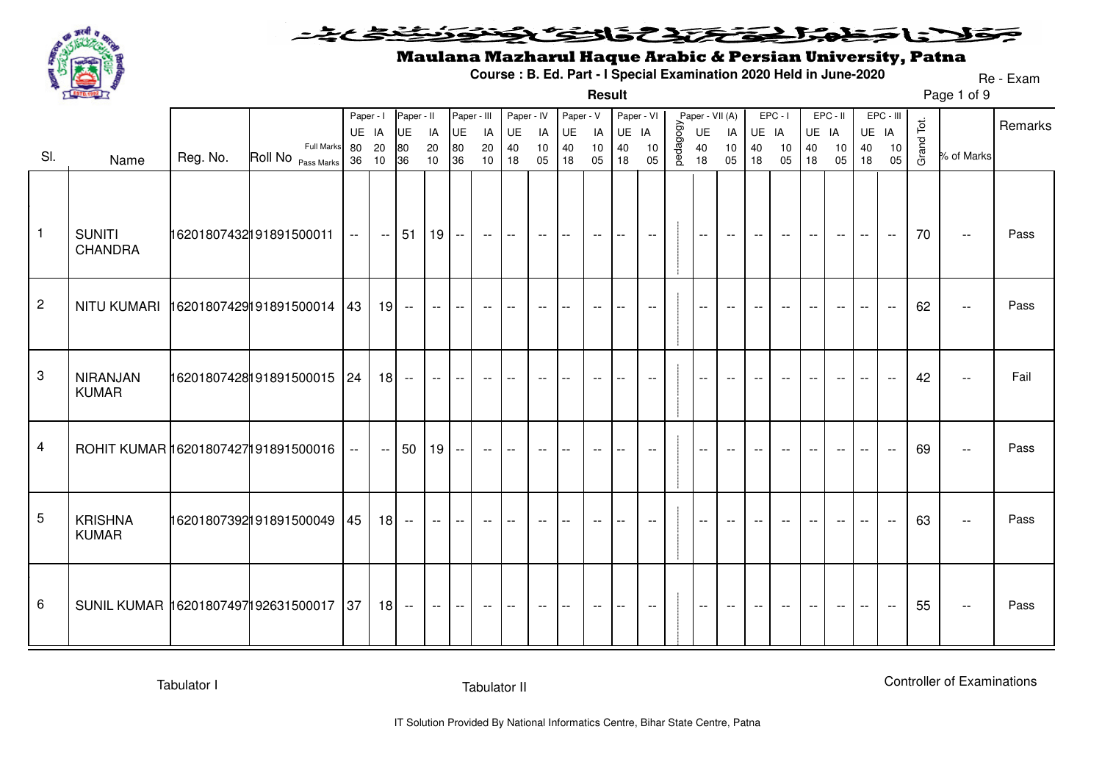

#### وولانا وخلوا اخترائ والتؤكلونون يخبخت

**Result**

# Maulana Mazharul Haque Arabic & Persian University, Patna

**Course : B. Ed. Part - I Special Examination 2020 Held in June-2020**

Page 1 of 9Re - Exam

|                |                                        |          |                            | Paper - I |        | Paper - II                    |                          | Paper - III              |        | Paper - IV                 |                          | Paper - V                |                          | Paper - VI               |                          |           | Paper - VII (A)          |                          |       | $EPC - I$ |       | EPC - II |       | EPC - III |            |                             | Remarks |
|----------------|----------------------------------------|----------|----------------------------|-----------|--------|-------------------------------|--------------------------|--------------------------|--------|----------------------------|--------------------------|--------------------------|--------------------------|--------------------------|--------------------------|-----------|--------------------------|--------------------------|-------|-----------|-------|----------|-------|-----------|------------|-----------------------------|---------|
|                |                                        |          |                            | UE IA     |        | UE                            | IA                       | UE                       | IA     | UE                         | IA                       | <b>UE</b>                | IA                       | UE IA                    |                          |           | UE                       | IA                       | UE IA |           | UE IA |          |       | UE IA     |            |                             |         |
| SI.            |                                        | Reg. No. | <b>Full Marks</b>          | 80        | 20     | 80<br>36                      | $20\,$                   | 80                       | 20     | $40\,$                     | 10                       | 40                       | 10                       | 40                       | 10                       | pedagogy. | 40<br>18                 | 10                       | 40    | 10        | 40    | 10       | 40    | 10        | Grand Tot. | % of Marks                  |         |
|                | Name                                   |          | Roll No Pass Marks         | 36        | 10     |                               | 10                       | 36                       | 10     | 18                         | 05                       | 18                       | 05                       | 18                       | 05                       |           |                          | 05                       | 18    | 05        | 18    | 05       | 18    | 05        |            |                             |         |
| $\mathbf{1}$   | <b>SUNITI</b><br><b>CHANDRA</b>        |          | 16201807432191891500011    | $-1$      |        | $-151$   19   $-$   $-$   $-$ |                          |                          |        |                            | $-$                      | $\overline{\phantom{a}}$ | $ -$                     | $\overline{a}$           | $--$                     |           | $\overline{\phantom{a}}$ | $- -$                    |       | $- -$     | $- -$ | $- -$    |       | $\sim$    | 70         | $\overline{\phantom{m}}$    | Pass    |
| $\overline{2}$ | NITU KUMARI 16201807429191891500014 43 |          |                            |           | $19 -$ |                               | $- -$                    | $\overline{\phantom{a}}$ | $- -$  | $- -$                      | $-$                      |                          | $-$                      |                          |                          |           | $\sim$ $\sim$            | $\sim$ $\sim$            |       |           |       |          |       |           | 62         | $- -$                       | Pass    |
| 3              | <b>NIRANJAN</b><br><b>KUMAR</b>        |          | 16201807428191891500015 24 |           | $18 -$ |                               | $\overline{\phantom{a}}$ | $---$                    | $- -$  | $-$                        |                          |                          |                          |                          |                          |           | $\overline{\phantom{a}}$ |                          |       |           |       |          |       | $- -$     | 42         | $\overline{\phantom{a}}$    | Fail    |
| $\overline{4}$ | ROHIT KUMAR 16201807427191891500016    |          |                            |           | $\sim$ | 50                            | $19 -$                   |                          | $\sim$ | $\mathbf{I}$ $\mathbf{I}$  | $- -$                    |                          | $- -$                    | $-$                      | $\overline{\phantom{a}}$ |           | $\overline{\phantom{a}}$ | $\overline{\phantom{a}}$ |       |           |       |          |       |           | 69         | $- -$                       | Pass    |
| 5              | <b>KRISHNA</b><br><b>KUMAR</b>         |          | 16201807392191891500049 45 |           | $18 -$ |                               | $- -$                    | $--$                     | $--$   | $\sim$                     | $\overline{\phantom{a}}$ | $\overline{\phantom{a}}$ | $\overline{\phantom{a}}$ | $\overline{\phantom{m}}$ | $- -$                    |           | $- -$                    | $--$                     |       |           |       | $--$     |       | $- -$     | 63         | $\mathcal{L}_{\mathcal{F}}$ | Pass    |
| 6              | SUNIL KUMAR 16201807497192631500017 37 |          |                            |           |        | $18 -$                        | $---$                    | $--$                     | $- -$  | $\mathbf{I}$ $\rightarrow$ | $- -$                    | $-$                      | $--$                     | $-$                      | $--$                     |           | $\sim$                   | $\sim$                   | $- -$ | $- -$     | $--$  | $--$     | $- -$ | $\sim$    | 55         | $- -$                       | Pass    |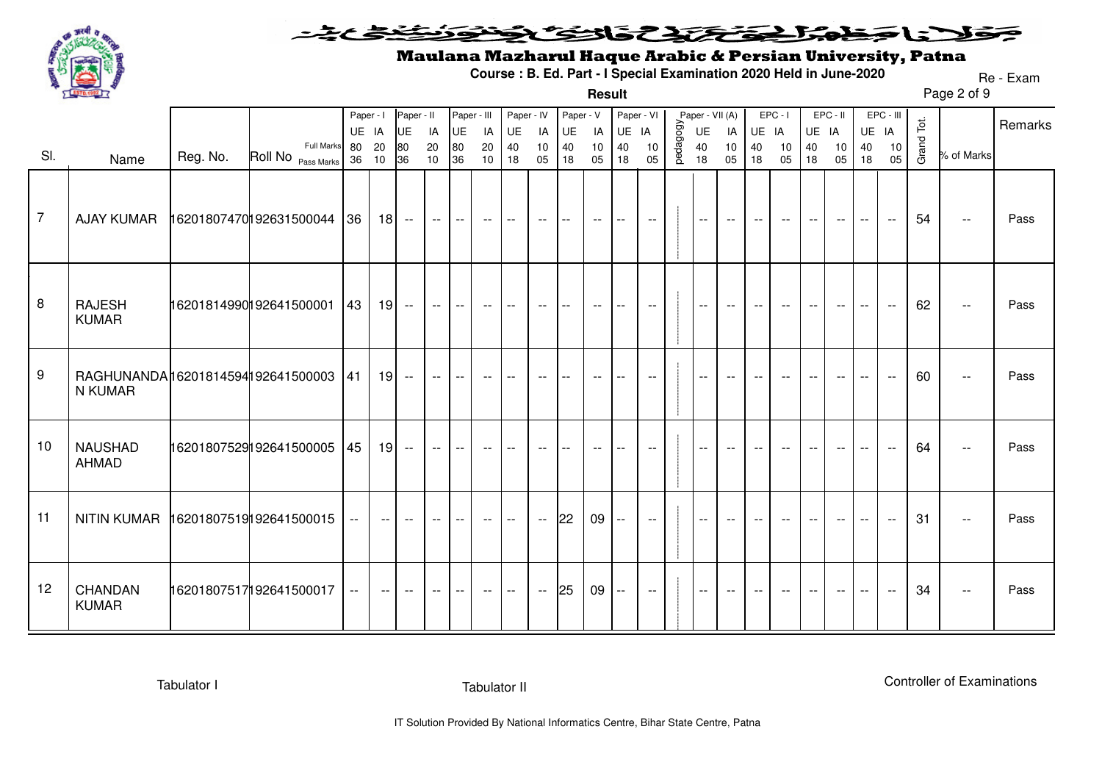

#### <u>خخخ میخت</u> مولان وخدا فتختص والحث لأن

**Result**

# Maulana Mazharul Haque Arabic & Persian University, Patna

**Course : B. Ed. Part - I Special Examination 2020 Held in June-2020**

Page 2 of 9Re - Exam

|                |                                              |          |                          | Paper - I |                          | Paper - II               |                          | Paper - III              |       | Paper - IV               |                                               | Paper - V |       | Paper - VI               |                          |          | Paper - VII (A)          |       |                          | $EPC - I$                |        | EPC - II                 |        | EPC - III                |            |                          |         |
|----------------|----------------------------------------------|----------|--------------------------|-----------|--------------------------|--------------------------|--------------------------|--------------------------|-------|--------------------------|-----------------------------------------------|-----------|-------|--------------------------|--------------------------|----------|--------------------------|-------|--------------------------|--------------------------|--------|--------------------------|--------|--------------------------|------------|--------------------------|---------|
|                |                                              |          |                          | UE IA     |                          | <b>UE</b>                | IA                       | UE                       | IA    | UE                       | IA                                            | UE        | IA    | UE IA                    |                          |          | UE                       | IA    | UE IA                    |                          | UE IA  |                          |        | UE IA                    |            |                          | Remarks |
|                |                                              |          | <b>Full Marks</b>        | 80        | 20                       | 80                       | 20                       | 80                       | 20    | 40                       | 10                                            | 40        | $10$  | 40                       | 10                       | pedagogy | 40                       | $10$  | 40                       | 10                       | $40\,$ | 10                       | 40     | 10                       | Grand Tot. |                          |         |
| SI.            | Name                                         | Reg. No. | Roll No Pass Marks 36 10 |           |                          | 36                       | 10                       | 36                       | 10    | 18                       | 05                                            | 18        | 05    | 18                       | 05                       |          | 18                       | 05    | 18                       | 05                       | 18     | 05                       | 18     | 05                       |            | % of Marks               |         |
| $\overline{7}$ |                                              |          |                          | 36        |                          | $18 -$                   | $--$                     | $- -$                    | $--$  | $--$                     | $- -$                                         | $- -$     | $--$  | $- -$                    | $\overline{\phantom{a}}$ |          | $--$                     | $--$  | $-$                      | $- -$                    | $- -$  | $- -$                    | $- -$  | $\overline{\phantom{a}}$ | 54         | $\overline{\phantom{a}}$ | Pass    |
| 8              | <b>RAJESH</b><br><b>KUMAR</b>                |          | 16201814990192641500001  | 43        |                          | $19 -$                   | $--$                     | $\overline{\phantom{a}}$ | $--$  | $--$                     | $- -$                                         | $-$       | $- -$ | $- -$                    | $- -$                    |          | $--$                     | $--$  | $--$                     | $\overline{\phantom{a}}$ | $- -$  | $- -$                    | $--$   | $\overline{\phantom{a}}$ | 62         | $\overline{\phantom{a}}$ | Pass    |
| 9              | RAGHUNANDA16201814594192641500003<br>N KUMAR |          |                          | 41        | 19                       | $ -$                     | $\overline{\phantom{a}}$ | $ -$                     | $--$  | $-$                      | $ -$                                          | $-$       | $- -$ | $-$                      | $\mathbf{u}$             |          | $\sim$ $\sim$            | $- -$ | $ -$                     |                          | $-$    | $- -$                    | $\sim$ | $\sim$                   | 60         | $\sim$ $\sim$            | Pass    |
| 10             | <b>NAUSHAD</b><br><b>AHMAD</b>               |          | 16201807529192641500005  | 45        | 19                       | $\overline{\phantom{a}}$ | $--$                     | $- -$                    | $- -$ | $-$                      | $- -$                                         | $- -$     | $- -$ | $- -$                    | $\mathbf{u}$             |          | $\sim$ $\sim$            | $ -$  | $ -$                     | $-$                      | $-$    | $\overline{\phantom{a}}$ | $-$    | $\overline{\phantom{a}}$ | 64         | $\overline{\phantom{a}}$ | Pass    |
| 11             | NITIN KUMAR 16201807519192641500015          |          |                          |           | $ -$                     | $--$                     | $- -$                    | $- -$                    | $- -$ | $\overline{\phantom{a}}$ | $\overline{\phantom{a}}$                      | 22        | 09    | $\overline{\phantom{a}}$ | $\overline{\phantom{a}}$ |          | $-$                      | $- -$ |                          |                          |        | $- -$                    |        | $\sim$                   | 31         | $\overline{\phantom{a}}$ | Pass    |
| 12             | CHANDAN<br><b>KUMAR</b>                      |          | 16201807517192641500017  | $- -$     | $\overline{\phantom{m}}$ | $\overline{\phantom{a}}$ | $--$                     | $\overline{\phantom{m}}$ | $--$  | $--$                     | $\mathord{\hspace{1pt}\text{--}\hspace{1pt}}$ | 25        | 09    | $- -$                    | $- -$                    |          | $\overline{\phantom{a}}$ | $--$  | $\overline{\phantom{m}}$ | $\overline{\phantom{m}}$ | $- -$  | $--$                     | $--$   | $\overline{\phantom{a}}$ | 34         | $\overline{\phantom{a}}$ | Pass    |

Tabulator I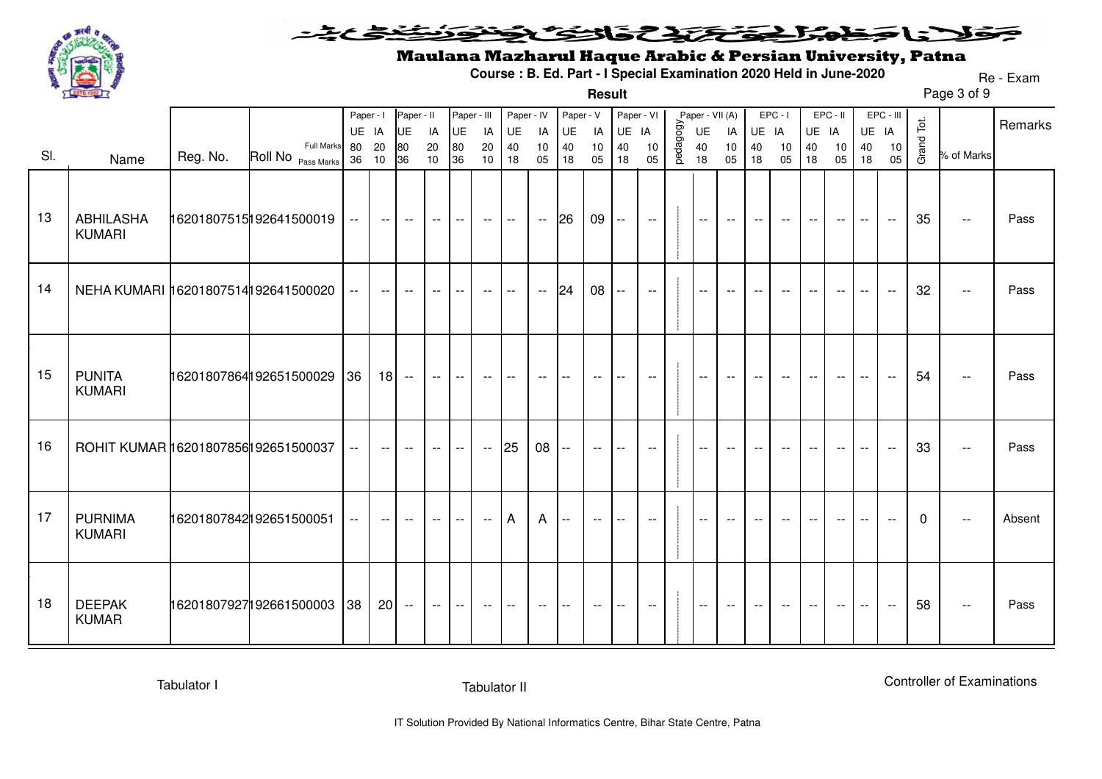

#### <u>خخ عرضت</u> وولانا وخلوا اخترائ والتؤث ونوز

**Result**

### Maulana Mazharul Haque Arabic & Persian University, Patna

**Course : B. Ed. Part - I Special Examination 2020 Held in June-2020**

Page 3 of 9Re - Exam

|     |                                     |          |                                                    | Paper - I     |          | Paper - II               |          | Paper - III              |                                               | Paper - IV                  |               | Paper - V                |                          | Paper - VI                |                             |          | Paper - VII (A) |                          |                          | $EPC - I$                                           |                          | EPC-II                   |                          | EPC - III                |              |                             | Remarks |
|-----|-------------------------------------|----------|----------------------------------------------------|---------------|----------|--------------------------|----------|--------------------------|-----------------------------------------------|-----------------------------|---------------|--------------------------|--------------------------|---------------------------|-----------------------------|----------|-----------------|--------------------------|--------------------------|-----------------------------------------------------|--------------------------|--------------------------|--------------------------|--------------------------|--------------|-----------------------------|---------|
|     |                                     |          |                                                    | UE IA         |          | <b>UE</b>                | IA       | UE                       | IA                                            | UE                          | IA            | UE                       | IA                       | UE                        | IA                          |          | UE              | IA                       | UE IA                    |                                                     | UE IA                    |                          |                          | UE IA                    |              |                             |         |
| SI. | Name                                | Reg. No. | <b>Full Marks</b><br>Roll No <sub>Pass Marks</sub> | 80<br>36      | 20<br>10 | 80<br>36                 | 20<br>10 | 80<br>36                 | 20<br>10                                      | 40<br>18                    | 10<br>05      | 40<br>18                 | 10<br>05                 | 40<br>18                  | 10<br>05                    | pedagogy | 40<br>18        | 10<br>05                 | 40<br>18                 | 10<br>05                                            | 40<br>18                 | 10<br>05                 | 40<br>18                 | 10<br>05                 | Grand Tot.   | % of Marks                  |         |
| 13  | <b>ABHILASHA</b><br><b>KUMARI</b>   |          | 16201807515192641500019                            | $  \,$        | $--$     | $- -$                    | $--$     | $\overline{\phantom{a}}$ | $-$                                           | $\mathcal{L}_{\mathcal{F}}$ | $\sim$        | 26                       | 09                       | $\mathbb{H}^{\mathbb{H}}$ | $\overline{\phantom{a}}$    |          | $-$             | $\overline{\phantom{m}}$ | $--$                     | $--$                                                | $- -$                    | $--$                     | $\overline{\phantom{m}}$ | $\sim$                   | 35           | $- -$                       | Pass    |
| 14  | NEHA KUMARI 16201807514192641500020 |          |                                                    | $---$         | $--$     | $-$                      | $--$     |                          | $- -$                                         | $\overline{a}$              | $\sim$ $\sim$ | 24                       | 08                       | $\overline{\phantom{a}}$  | $\overline{\phantom{a}}$    |          |                 |                          |                          |                                                     |                          |                          |                          | $\sim$ $\sim$            | 32           | $\mathbb{L}^{\mathbb{L}}$   | Pass    |
| 15  | <b>PUNITA</b><br><b>KUMARI</b>      |          | 16201807864192651500029 36                         |               |          | $18 -$                   | $- -$    |                          | $--$                                          |                             | $ -$          |                          | $\overline{\phantom{a}}$ | $- -$                     | $\overline{\phantom{a}}$    |          | $- -$           | $\overline{\phantom{a}}$ | $- -$                    | $--$                                                | $- -$                    | $- -$                    |                          | $\sim$ $\sim$            | 54           | $\mathbb{L}^{\mathbb{L}}$   | Pass    |
| 16  | ROHIT KUMAR 16201807856192651500037 |          |                                                    | $\sim$ $\sim$ | $- -$    | $- -$                    | $---$    | $- -$                    | $\mathord{\hspace{1pt}\text{--}\hspace{1pt}}$ | 25                          | 08            | $- -$                    | $- -$                    | $- -$                     | $- -$                       |          | $- -$           | $\overline{\phantom{m}}$ | $\overline{\phantom{m}}$ | $--$                                                | $\overline{\phantom{a}}$ | $\overline{\phantom{a}}$ | $\overline{\phantom{m}}$ | $\overline{\phantom{a}}$ | 33           | $\mathcal{L}_{\mathcal{F}}$ | Pass    |
| 17  | <b>PURNIMA</b><br><b>KUMARI</b>     |          | 16201807842192651500051                            | $---$         | $- -$    | $\overline{\phantom{a}}$ | $---$    | $\overline{\phantom{a}}$ | $\mathord{\hspace{1pt}\text{--}\hspace{1pt}}$ | $\overline{A}$              | $\mathsf{A}$  | $\overline{\phantom{a}}$ | $- -$                    | $\overline{\phantom{a}}$  | $\overline{\phantom{a}}$    |          | $-$             | $\overline{\phantom{m}}$ | $\overline{\phantom{a}}$ | $--$                                                | $- -$                    | $\overline{\phantom{a}}$ | $\overline{\phantom{a}}$ | $\overline{\phantom{a}}$ | $\mathbf{0}$ | $- -$                       | Absent  |
| 18  | <b>DEEPAK</b><br><b>KUMAR</b>       |          | 16201807927192661500003 38                         |               |          | $20 -$                   | $-  \,$  | $\overline{\phantom{a}}$ | $--$                                          | $- -$                       | $- -$         | $--$                     | $--$                     | $\overline{\phantom{a}}$  | $\mathcal{L}_{\mathcal{F}}$ |          | $\sim$ $\sim$   | $\sim$ $\sim$            | $--$                     | $\hspace{0.05cm} -\hspace{0.05cm} -\hspace{0.05cm}$ | $--$                     | $--$                     | $\overline{\phantom{a}}$ | $\sim$                   | 58           | $- -$                       | Pass    |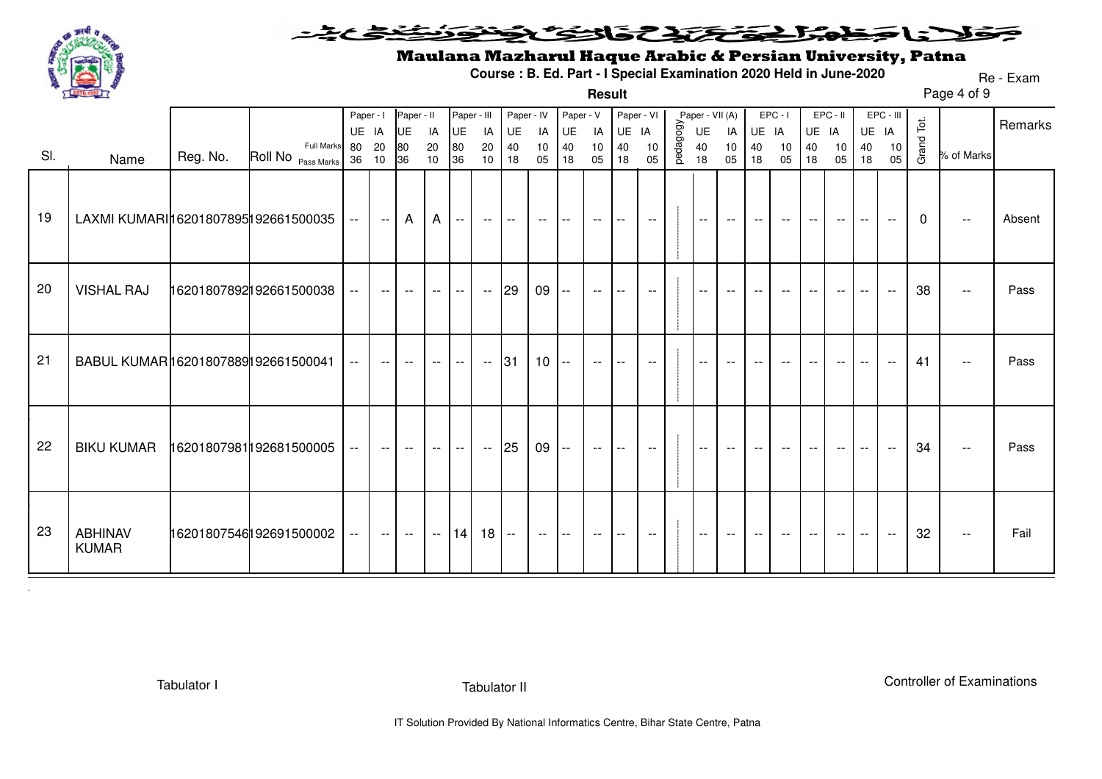

#### خضميت فتحتحل فكالتحك فخظ كالاناجذ ₹

**Result**

# Maulana Mazharul Haque Arabic & Persian University, Patna

**Course : B. Ed. Part - I Special Examination 2020 Held in June-2020**

Page 4 of 9Re - Exam

|     |                                       |                         |                    | Paper - I |                                               | Paper - II               |                          |                                         | Paper - III              | Paper - IV                              |                 | Paper - V                               |          | Paper - VI               |                             |          | Paper - VII (A)                               |                          |                          | $EPC - I$                |          | EPC - II |          | EPC - III                |            |                                               | Remarks |
|-----|---------------------------------------|-------------------------|--------------------|-----------|-----------------------------------------------|--------------------------|--------------------------|-----------------------------------------|--------------------------|-----------------------------------------|-----------------|-----------------------------------------|----------|--------------------------|-----------------------------|----------|-----------------------------------------------|--------------------------|--------------------------|--------------------------|----------|----------|----------|--------------------------|------------|-----------------------------------------------|---------|
|     |                                       |                         | <b>Full Marks</b>  | UE IA     |                                               | UE                       | IA                       | UE                                      | IA                       | UE                                      | IA              | UE                                      | IA       | UE IA                    |                             |          | UE                                            | IA                       | UE IA                    |                          | UE IA    |          |          | UE IA                    | Grand Tot. |                                               |         |
| SI. | Name                                  | Reg. No.                | Roll No Pass Marks | 80<br>36  | 20<br>10                                      | 80<br>36                 | 20<br>10                 | $\begin{array}{c} 80 \\ 36 \end{array}$ | 20<br>10                 | $\begin{array}{c} 40 \\ 18 \end{array}$ | 10<br>05        | $\begin{array}{c} 40 \\ 18 \end{array}$ | 10<br>05 | 40<br>18                 | 10<br>05                    | pedagogy | 40<br>18                                      | 10<br>05                 | 40<br>18                 | 10<br>05                 | 40<br>18 | 10<br>05 | 40<br>18 | 10<br>05                 |            | % of Marks                                    |         |
| 19  | LAXMI KUMARI 16201807895 192661500035 |                         |                    | $---$     | $--$                                          | $\mathsf{A}$             | $\mathsf{A}$             | $  \,$                                  | $--$                     | $\Gamma$ = $\Gamma$                     | $--$            | $- -$                                   | $- -$    | $---$                    | $\mathcal{L}_{\mathcal{F}}$ |          | $\mathord{\hspace{1pt}\text{--}\hspace{1pt}}$ | $--$                     | $--$                     | $--$                     | $- -$    | $--$     | $--$     | $--$                     | 0          | $\sim$ $-$                                    | Absent  |
| 20  | <b>VISHAL RAJ</b>                     | 16201807892192661500038 |                    |           | $- -$                                         | $\overline{\phantom{a}}$ | $- -$                    | $- -$                                   | $\sim$                   | 29                                      | 09              | $\overline{\phantom{a}}$                | $- -$    | $\overline{\phantom{a}}$ | $- -$                       |          | $--$                                          | $- -$                    | $\overline{\phantom{m}}$ | $\overline{\phantom{m}}$ |          | $- -$    | $- -$    | $- -$                    | 38         | $\mathbf{u}$                                  | Pass    |
| 21  | BABUL KUMAR16201807889192661500041    |                         |                    |           | $\qquad \qquad -$                             | $ -$                     | $\overline{\phantom{a}}$ | $\overline{\phantom{a}}$                | $\overline{\phantom{a}}$ | 31                                      | 10 <sup>°</sup> | $\overline{\phantom{a}}$                | $- -$    | $-$                      | $\overline{\phantom{a}}$    |          | $\qquad \qquad -$                             | $\overline{\phantom{m}}$ |                          |                          |          | $- -$    | $- -$    |                          | 41         | $\overline{\phantom{a}}$                      | Pass    |
| 22  | <b>BIKU KUMAR</b>                     | 16201807981192681500005 |                    | $--$      | $\overline{\phantom{a}}$                      | $-$                      | $---$                    | $\sim$                                  | $\sim$                   | 25                                      | 09              | $- -$                                   | $\sim$   | $\overline{\phantom{a}}$ | $--$                        |          | $--$                                          | $--$                     | $--$                     | $--$                     | $- -$    | $--$     | $--$     | $\overline{\phantom{a}}$ | 34         | $\overline{\phantom{a}}$                      | Pass    |
| 23  | <b>ABHINAV</b><br><b>KUMAR</b>        | 16201807546192691500002 |                    | $--$      | $\mathord{\hspace{1pt}\text{--}\hspace{1pt}}$ | $- -$                    | $\sim$                   | 14                                      | $18 -$                   |                                         | $  \,$          | $- -$                                   | $- -$    | $--$                     | $--$                        |          | $--$                                          | $- -$                    | $--$                     | $- -$                    | $- -$    | $--$     | $--$     | $--$                     | 32         | $\mathord{\hspace{1pt}\text{--}\hspace{1pt}}$ | Fail    |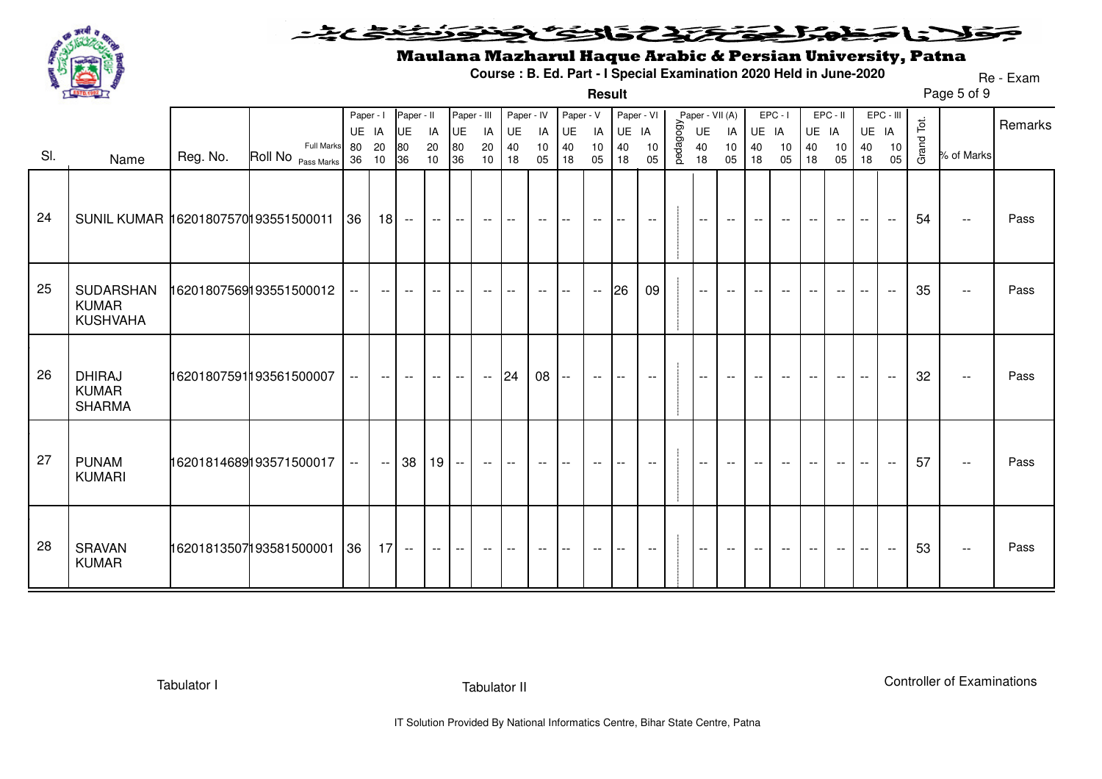

#### <u> ختخ ميخينه</u> فتحتحل فكالتحك فخظ **SELENS** ₹

**Result**

### Maulana Mazharul Haque Arabic & Persian University, Patna

**Course : B. Ed. Part - I Special Examination 2020 Held in June-2020**

Page 5 of 9Re - Exam

|     |                                                |          |                          | Paper - I   |       | Paper - II               |                   | Paper - III |                                               | Paper - IV               |          | Paper - V                |                             | Paper - VI |                             |           | Paper - VII (A)          |                             |                          | $EPC - I$                |                          | $EPC - II$ |                                               | EPC - III   |            |                                               | Remarks |
|-----|------------------------------------------------|----------|--------------------------|-------------|-------|--------------------------|-------------------|-------------|-----------------------------------------------|--------------------------|----------|--------------------------|-----------------------------|------------|-----------------------------|-----------|--------------------------|-----------------------------|--------------------------|--------------------------|--------------------------|------------|-----------------------------------------------|-------------|------------|-----------------------------------------------|---------|
|     |                                                |          | <b>Full Marks</b>        | UE IA<br>80 | 20    | UE<br>80                 | IA<br>20          | UE<br>80    | IA<br>20                                      | UE<br>40                 | IA<br>10 | UE<br>40                 | IA<br>10                    | UE<br>40   | IA<br>10                    | pedagogy. | UE<br>40                 | IA<br>10                    | UE IA<br>40              | 10                       | UE IA<br>40              | 10         | 40                                            | UE IA<br>10 | Grand Tot. |                                               |         |
| SI. | Name                                           | Reg. No. | Roll No Pass Marks 36 10 |             |       | 36                       | 10                | 36          | 10                                            | 18                       | 05       | 18                       | 05                          | 18         | 05                          |           | 18                       | 05                          | 18                       | 05                       | 18                       | 05         | 18                                            | 05          |            | % of Marks                                    |         |
| 24  | SUNIL KUMAR 16201807570193551500011            |          |                          | 36          |       | $18 -$                   | $--$              | $--$        | $- -$                                         | $\qquad \qquad -$        | $- -$    | $- -$                    | $\overline{\phantom{m}}$    | $- -$      | $- -$                       |           | $\overline{\phantom{a}}$ | $- -$                       | $- -$                    | $- -$                    | $\overline{\phantom{m}}$ | $--$       | $--$                                          | $- -$       | 54         | $- -$                                         | Pass    |
| 25  | SUDARSHAN<br><b>KUMAR</b><br><b>KUSHVAHA</b>   |          | 16201807569193551500012  |             | $- -$ | $\overline{\phantom{a}}$ | $\qquad \qquad -$ | $--$        | $--$                                          | $\qquad \qquad -$        | $--$     | $- -$                    | $- -$                       | 26         | 09                          |           | $--$                     | $- -$                       | $\overline{\phantom{m}}$ | $- -$                    |                          | $- -$      |                                               | $- -$       | 35         | $\overline{\phantom{a}}$                      | Pass    |
| 26  | <b>DHIRAJ</b><br><b>KUMAR</b><br><b>SHARMA</b> |          | 16201807591193561500007  | $- -$       | $- -$ | $\overline{\phantom{a}}$ | $--$              | $- -$       | $\mathord{\hspace{1pt}\text{--}\hspace{1pt}}$ | 24                       | 08       | $- -$                    | $- -$                       | $--$       | $--$                        |           | $\overline{\phantom{a}}$ | $- -$                       | $- -$                    | $- -$                    | $- -$                    | $- -$      | $\overline{\phantom{a}}$                      | $- -$       | 32         | $\overline{\phantom{m}}$                      | Pass    |
| 27  | <b>PUNAM</b><br><b>KUMARI</b>                  |          | 16201814689193571500017  | $- -$       | $- -$ | 38                       | 19                | $ -$        | $--$                                          | $\overline{\phantom{a}}$ | $- -$    | $- -$                    | $- -$                       | $- -$      | $- -$                       |           | $\overline{\phantom{a}}$ | $- -$                       | $- -$                    | $\overline{\phantom{a}}$ | $\overline{\phantom{a}}$ | $--$       | $--$                                          | $- -$       | 57         | $\sim$                                        | Pass    |
| 28  | <b>SRAVAN</b><br><b>KUMAR</b>                  |          | 16201813507193581500001  | 36          | 17    | $- -$                    | $---$             | $- -$       | $--$                                          | $--$                     | $--$     | $\overline{\phantom{a}}$ | $\mathcal{L}_{\mathcal{L}}$ | $--$       | $\mathcal{L}_{\mathcal{F}}$ |           | $\sim$ $\sim$            | $\mathcal{L}_{\mathcal{F}}$ | $--$                     | $--$                     | $--$                     | $--$       | $\mathord{\hspace{1pt}\text{--}\hspace{1pt}}$ | $- -$       | 53         | $\mathord{\hspace{1pt}\text{--}\hspace{1pt}}$ | Pass    |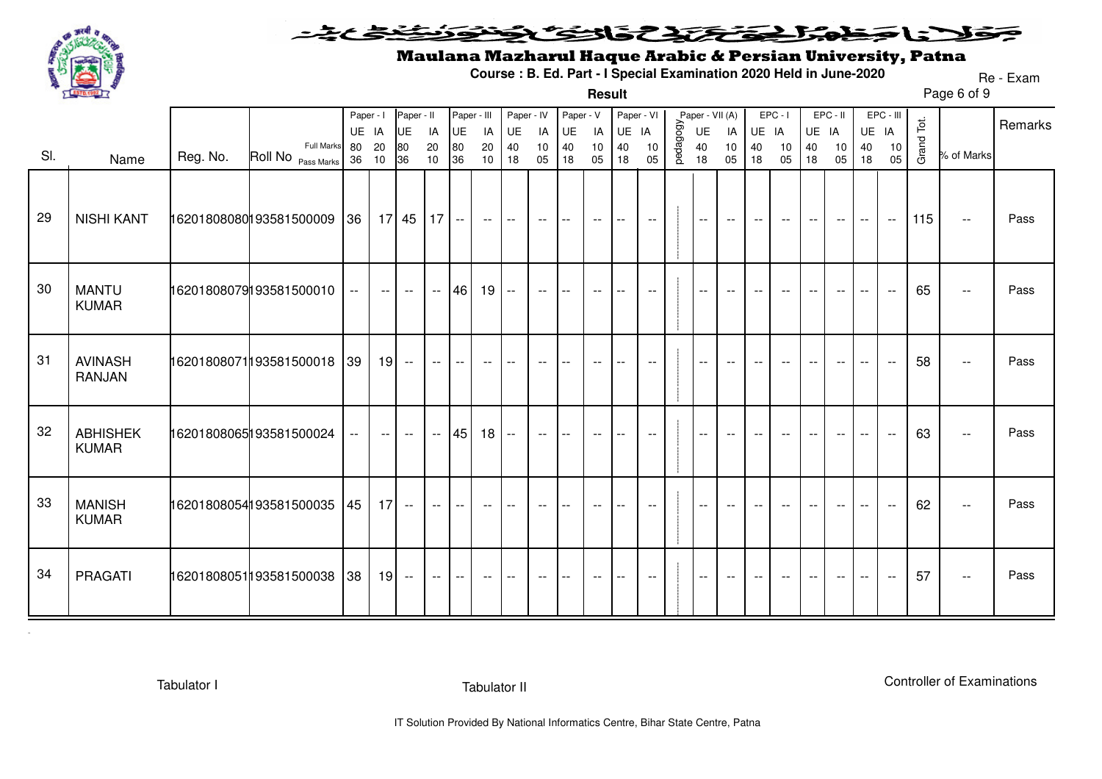

#### 235352375 シィ うくち ◒  $\blacktriangleright$   $\blacktriangleright$   $\blacktriangleright$

**Result**

# Maulana Mazharul Haque Arabic & Persian University, Patna

**Course : B. Ed. Part - I Special Examination 2020 Held in June-2020**

Page 6 of 9Re - Exam

|     |                                 |          |                              | Paper - I   |                 | Paper - II                                    |          | Paper - III |                                               | Paper - IV                                    |                          | Paper - V                |                          | Paper - VI |                                       |           | Paper - VII (A)             |                                               |                          | $EPC - I$                |          | EPC - II                 |                          | EPC - III                               |            |                                               | Remarks |
|-----|---------------------------------|----------|------------------------------|-------------|-----------------|-----------------------------------------------|----------|-------------|-----------------------------------------------|-----------------------------------------------|--------------------------|--------------------------|--------------------------|------------|---------------------------------------|-----------|-----------------------------|-----------------------------------------------|--------------------------|--------------------------|----------|--------------------------|--------------------------|-----------------------------------------|------------|-----------------------------------------------|---------|
|     |                                 |          | Full Marks                   | UE IA       |                 | UE                                            | IA       | UE          | IA                                            | UE                                            | IA                       | UE                       | IA                       | UE IA      |                                       |           | UE                          | IA                                            | UE IA                    |                          | UE IA    |                          |                          | UE IA                                   |            |                                               |         |
| SI. | Name                            | Reg. No. | Roll No Pass Marks           | 80<br>36 10 | 20              | 80<br>36                                      | 20<br>10 | 80<br>36    | 20<br>10                                      | 40<br>18                                      | 10<br>05                 | 40<br>18                 | 10<br>05                 | 40<br>18   | 10<br>05                              | pedagogy. | 40<br>18                    | 10<br>05                                      | 40<br>18                 | 10<br>05                 | 40<br>18 | 10<br>05                 | 40<br>18                 | $\begin{array}{c} 10 \\ 05 \end{array}$ | Grand Tot. | % of Marks                                    |         |
| 29  | <b>NISHI KANT</b>               |          | 16201808080193581500009 36   |             |                 | $17$   45   17   --                           |          |             | $\mathord{\hspace{1pt}\text{--}\hspace{1pt}}$ | $- -$                                         | $- -$                    | $- -$                    | $\overline{\phantom{a}}$ | $--$       | $\overline{\phantom{a}}$              |           | $\mathcal{L}_{\mathcal{F}}$ | $\mathord{\hspace{1pt}\text{--}\hspace{1pt}}$ | $--$                     | $- -$                    | $--$     | $--$                     | $--$                     | $\overline{\phantom{a}}$                | 115        | $\overline{\phantom{m}}$                      | Pass    |
| 30  | <b>MANTU</b><br><b>KUMAR</b>    |          | 16201808079193581500010      | $---$       | $\sim$          | $- -$                                         |          | $- 46$      | 19                                            | $- -$                                         | $- -$                    | $- -$                    | $\overline{\phantom{a}}$ | $- -$      | $\overline{\phantom{m}}$              |           | $\overline{\phantom{a}}$    | $\overline{\phantom{a}}$                      | $- -$                    | $\overline{\phantom{m}}$ | $--$     | $\overline{\phantom{a}}$ | $\overline{\phantom{a}}$ | $\overline{\phantom{a}}$                | 65         | $\mathcal{L}_{\mathcal{F}}$                   | Pass    |
| 31  | <b>AVINASH</b><br><b>RANJAN</b> |          | 16201808071193581500018 39   |             | 19              | $\mathord{\hspace{1pt}\text{--}\hspace{1pt}}$ | $- -$    | $- -$       | $\overline{\phantom{m}}$                      |                                               | $\overline{\phantom{m}}$ | $-$                      | $\overline{\phantom{m}}$ |            | $\overline{\phantom{m}}$              |           | $\overline{\phantom{m}}$    | $- -$                                         | $\overline{\phantom{m}}$ | $-$                      | $- -$    | $\overline{\phantom{m}}$ | $-$                      | $\sim$ $\sim$                           | 58         | $\mathord{\hspace{1pt}\text{--}\hspace{1pt}}$ | Pass    |
| 32  | <b>ABHISHEK</b><br><b>KUMAR</b> |          | 16201808065193581500024      | $-$         | $--$            | $\overline{\phantom{a}}$                      |          | $- 45$      | 18                                            | $\mathord{\hspace{1pt}\text{--}\hspace{1pt}}$ | $\overline{\phantom{a}}$ | $-$                      | $-$                      |            | $-$                                   |           | $-$                         | $-$                                           |                          |                          |          | $-$                      |                          | $\sim$ $\sim$                           | 63         | $\overline{\phantom{a}}$                      | Pass    |
| 33  | <b>MANISH</b><br><b>KUMAR</b>   |          | 16201808054193581500035 45   |             | 17 <sup>1</sup> | $ -$                                          | $- -$    | $- -$       | $\overline{\phantom{m}}$                      |                                               | $\overline{\phantom{m}}$ |                          | $-$                      |            | $\hspace{0.05cm}$ – $\hspace{0.05cm}$ |           | $\overline{\phantom{m}}$    | $\overline{\phantom{m}}$                      |                          |                          |          | $- -$                    |                          |                                         | 62         | $\overline{\phantom{a}}$                      | Pass    |
| 34  | <b>PRAGATI</b>                  |          | 16201808051 193581500038  38 |             | 19              | $- -$                                         | $---$    | $- -$       | $--$                                          | $\overline{\phantom{m}}$                      | $- -$                    | $\overline{\phantom{m}}$ | $- -$                    | $--$       | $- -$                                 |           | $--$                        | $--$                                          | $--$                     | $- -$                    | $--$     | $--$                     | $--$                     | $\overline{\phantom{a}}$                | 57         | $- -$                                         | Pass    |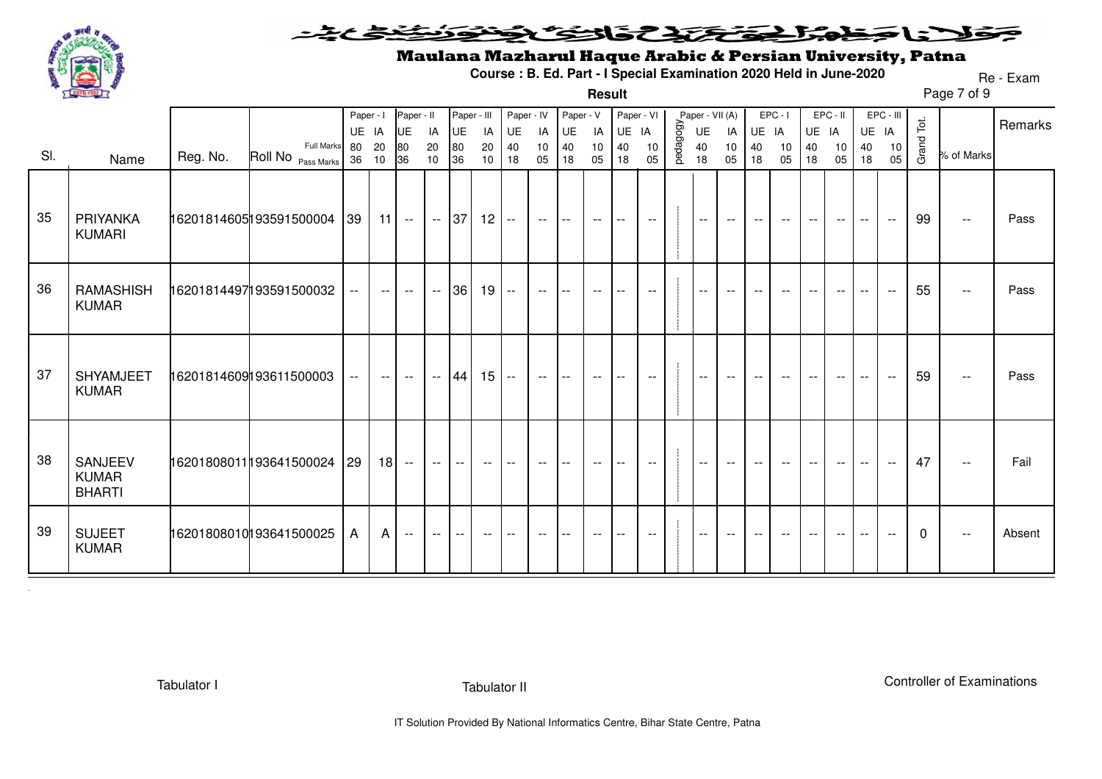

#### فتختخذ فخافت فخفخ ZC Z SCUS ❤

**Result**

# Maulana Mazharul Haque Arabic & Persian University, Patna

**Course : B. Ed. Part - I Special Examination 2020 Held in June-2020**

Page 7 of 9Re - Exam

|     |                                          |          |                                  | Paper - I<br>UE IA |                          | Paper - II<br><b>UE</b>  | IA                       | Paper - III<br>UE | IA                       | Paper - IV<br>UE                              |                          | Paper - V<br>UE          | IA                       | Paper - VI<br>UE         | IA                       |          | Paper - VII (A)<br>UE    | IA                       | UE IA                    | $EPC - I$                | UE IA    | EPC - II |                          | EPC - III<br>UE IA       |            |                             | Remarks |
|-----|------------------------------------------|----------|----------------------------------|--------------------|--------------------------|--------------------------|--------------------------|-------------------|--------------------------|-----------------------------------------------|--------------------------|--------------------------|--------------------------|--------------------------|--------------------------|----------|--------------------------|--------------------------|--------------------------|--------------------------|----------|----------|--------------------------|--------------------------|------------|-----------------------------|---------|
| SI. | Name                                     | Reg. No. | Full Marks<br>Roll No Pass Marks | 80<br>36 10        | 20                       | 80<br>36                 | 20<br>10                 | 80<br>36          | 20<br>10                 | 40<br>18                                      | IA<br>10<br>05           | 40<br>18                 | 10<br>05                 | 40<br>18                 | 10<br>05                 | pedagogy | 40<br>18                 | 10<br>05                 | 40<br>18                 | 10<br>05                 | 40<br>18 | 10<br>05 | 40<br>18                 | 10<br>05                 | Grand Tot. | % of Marks                  |         |
| 35  | PRIYANKA<br><b>KUMARI</b>                |          | 16201814605193591500004 39       |                    |                          | $11$ --                  | $-$ 37                   |                   | 12                       | $\mathord{\hspace{1pt}\text{--}\hspace{1pt}}$ | $\overline{\phantom{a}}$ | $- -$                    | $\overline{\phantom{a}}$ | $- -$                    | $- -$                    |          | $--$                     | $--$                     | $--$                     | $--$                     | $--$     | $- -$    | $- -$                    | $- -$                    | 99         | $\mathcal{L}_{\mathcal{F}}$ | Pass    |
| 36  | RAMASHISH<br><b>KUMAR</b>                |          | 16201814497193591500032          |                    | $\overline{\phantom{m}}$ | $\overline{\phantom{m}}$ | $\overline{\phantom{a}}$ | 36 <sup>1</sup>   | 19                       | $\mathord{\hspace{1pt}\text{--}\hspace{1pt}}$ | $\overline{\phantom{m}}$ | $-$                      | $ -$                     | --                       | $\overline{\phantom{m}}$ |          | $\overline{\phantom{a}}$ | $\overline{\phantom{m}}$ | $\overline{\phantom{m}}$ | $- -$                    | $- -$    | $- -$    | $\overline{\phantom{m}}$ | $\overline{\phantom{a}}$ | 55         | $\overline{\phantom{a}}$    | Pass    |
| 37  | <b>SHYAMJEET</b><br><b>KUMAR</b>         |          | 16201814609193611500003          | $--$               | $- -$                    | $\overline{\phantom{a}}$ |                          | $- 44$            | 15                       | $ -$                                          | $- -$                    | $\overline{\phantom{a}}$ | $--$                     | $\overline{\phantom{a}}$ | $- -$                    |          | $\overline{\phantom{a}}$ | $--$                     | $--$                     | $--$                     | $- -$    | $--$     | $--$                     | $- -$                    | 59         | $\mathcal{L}_{\mathcal{F}}$ | Pass    |
| 38  | SANJEEV<br><b>KUMAR</b><br><b>BHARTI</b> |          | 16201808011193641500024          | $ 29\rangle$       | 18                       | $\overline{\phantom{a}}$ | $--$                     | $- -$             | $- -$                    | $- -$                                         | $- -$                    | $- -$                    | $- -$                    | $- -$                    | $\overline{\phantom{m}}$ |          | $\overline{\phantom{a}}$ | $\overline{\phantom{a}}$ | $- -$                    | $ -$                     | $-$      | $- -$    | $\overline{\phantom{a}}$ | $\overline{\phantom{a}}$ | 47         | $\overline{\phantom{a}}$    | Fail    |
| 39  | <b>SUJEET</b><br><b>KUMAR</b>            |          | 16201808010193641500025          | $\mathsf{A}$       | $\mathsf{A}$             | $\overline{\phantom{a}}$ | $--$                     | $- -$             | $\overline{\phantom{a}}$ | $\overline{\phantom{m}}$                      | $\overline{\phantom{m}}$ | $-$                      | $- -$                    | --                       | $\overline{\phantom{m}}$ |          | $\overline{\phantom{a}}$ | $--$                     | $\overline{\phantom{m}}$ | $\overline{\phantom{m}}$ | $--$     | $- -$    | $--$                     | $\overline{\phantom{a}}$ | $\Omega$   | $\overline{\phantom{a}}$    | Absent  |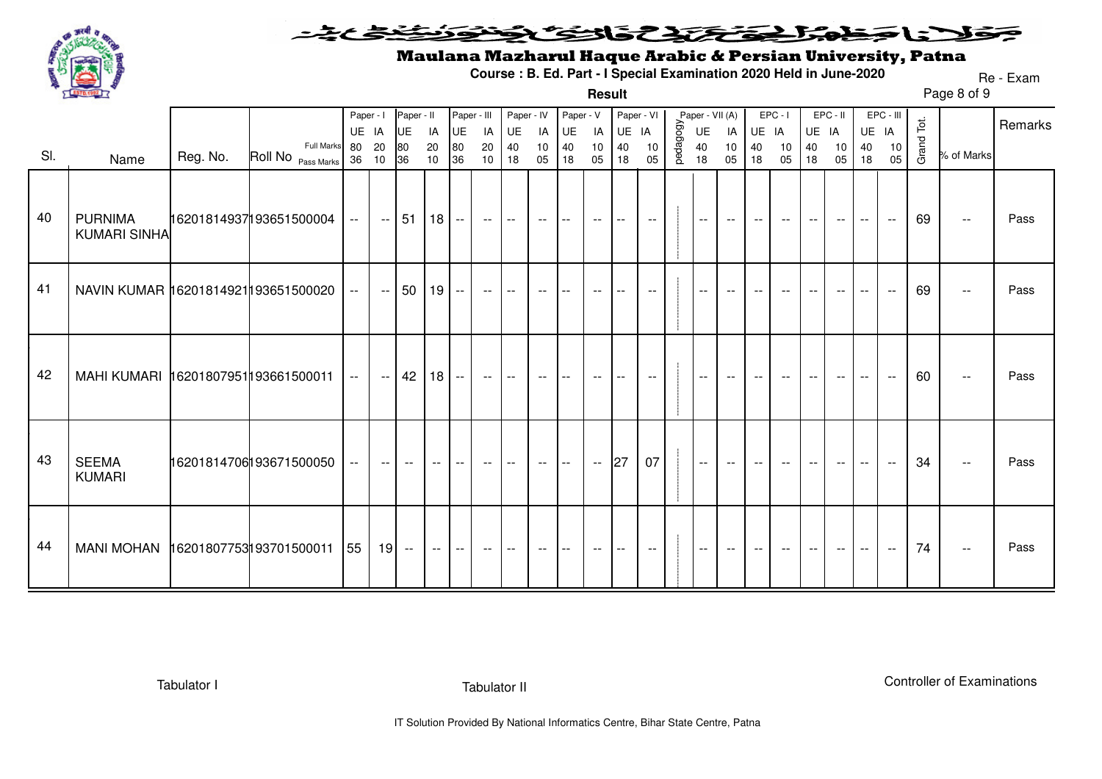

#### <u>خخخ میخه د</u> فلانا منهلك وكتحك فالتك ونود ₹

# Maulana Mazharul Haque Arabic & Persian University, Patna

**Course : B. Ed. Part - I Special Examination 2020 Held in June-2020**

Page 8 of 9 Re - Exam

|     | 2 870.1992                            |          |                                            |                          |                          |                                     |                    |                               |                |                                  |                          |                             | Result           |                                 |                          |          |                                   |                          |                          |                          |                   |                          |                          |                       |            | Page 8 of 9               |         |
|-----|---------------------------------------|----------|--------------------------------------------|--------------------------|--------------------------|-------------------------------------|--------------------|-------------------------------|----------------|----------------------------------|--------------------------|-----------------------------|------------------|---------------------------------|--------------------------|----------|-----------------------------------|--------------------------|--------------------------|--------------------------|-------------------|--------------------------|--------------------------|-----------------------|------------|---------------------------|---------|
| SI. | Name                                  | Reg. No. | <b>Full Marks</b><br>Roll No Pass Marks 36 | Paper - I<br>UE IA<br>80 | 20<br>10                 | Paper - II<br><b>UE</b><br>80<br>36 | IA<br>$20\,$<br>10 | Paper - III<br>UE<br>80<br>36 | IA<br>20<br>10 | Paper - IV<br>UE<br>$40\,$<br>18 | IA<br>$10$<br>05         | Paper - V<br>UE<br>40<br>18 | IA<br>$10$<br>05 | Paper - VI<br>UE IA<br>40<br>18 | 10<br>05                 | pedagogy | Paper - VII (A)<br>UE<br>40<br>18 | IA<br>$10$<br>05         | UE IA<br>40<br>18        | $EPC - I$<br>10<br>05    | UE IA<br>40<br>18 | EPC - II<br>10<br>05     | UE IA<br>40<br>18        | EPC - III<br>10<br>05 | Grand Tot. | % of Marks                | Remarks |
| 40  | <b>PURNIMA</b><br><b>KUMARI SINHA</b> |          | 16201814937193651500004                    | $- -$                    | $--$                     | 51                                  | 18 <sup>1</sup>    | $-$                           | $--$           | $\overline{\phantom{a}}$         | $--$                     | $\overline{\phantom{a}}$    | $--$             | $-$                             | $\overline{\phantom{a}}$ |          | $\sim$                            | $\overline{\phantom{a}}$ | $\overline{\phantom{a}}$ | $\overline{\phantom{a}}$ |                   | $\overline{\phantom{a}}$ | $\mathbf{u}$             | $\sim$                | 69         | $\overline{\phantom{a}}$  | Pass    |
| 41  | NAVIN KUMAR 16201814921193651500020   |          |                                            | $- -$                    | $- -$                    | 50                                  | 19 <sup>1</sup>    | $-$                           | $- -$          | $\overline{\phantom{a}}$         | $\overline{\phantom{a}}$ | $- -$                       | $--$             | $-$                             | $- -$                    |          | $\overline{\phantom{a}}$          | $-$                      | $\overline{\phantom{m}}$ | $\overline{\phantom{a}}$ |                   | $\overline{\phantom{m}}$ |                          | $\sim$ $\sim$         | 69         | $\mathbb{H}^{\mathbb{H}}$ | Pass    |
| 42  | MAHI KUMARI 16201807951193661500011   |          |                                            | $ -$                     | $--$                     | 42                                  | 18 <sup>1</sup>    | $\overline{\phantom{a}}$      | $--$           | $- -$                            | $\overline{\phantom{a}}$ | $-$                         | $---$            | $-$                             | $\overline{\phantom{a}}$ |          | $\overline{\phantom{a}}$          | $- -$                    | $-$                      | $ -$                     |                   | $- -$                    | $\overline{\phantom{a}}$ | $- -$                 | 60         | $\overline{\phantom{a}}$  | Pass    |
| 43  | <b>SEEMA</b><br><b>KUMARI</b>         |          | 16201814706193671500050                    | $ -$                     | $\overline{\phantom{m}}$ | $\overline{\phantom{a}}$            |                    |                               | $- -$          | $-$                              | $- -$                    | $-$                         | $\sim$           | 27                              | 07                       |          | $\overline{\phantom{a}}$          | $\overline{\phantom{m}}$ |                          |                          |                   |                          |                          | $- -$                 | 34         | $\overline{\phantom{a}}$  | Pass    |
| 44  | MANI MOHAN 16201807753193701500011    |          |                                            | 55                       | 19                       | $\mathcal{L}_{\mathcal{F}}$         | $--$               | $--$                          | $- -$          | $\overline{\phantom{m}}$         | $- -$                    | $--$                        | $- -$            | $--$                            | $--$                     |          | $\sim$                            | $--$                     | $- -$                    | $- -$                    | $- -$             | $--$                     | $\overline{\phantom{a}}$ | $--$                  | 74         | $\overline{\phantom{m}}$  | Pass    |